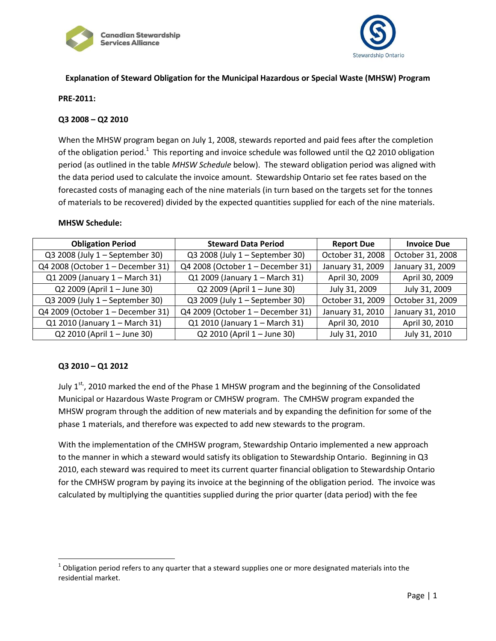



# **Explanation of Steward Obligation for the Municipal Hazardous or Special Waste (MHSW) Program**

### **PRE-2011:**

#### **Q3 2008 – Q2 2010**

When the MHSW program began on July 1, 2008, stewards reported and paid fees after the completion of the obligation period.<sup>1</sup> This reporting and invoice schedule was followed until the Q2 2010 obligation period (as outlined in the table *MHSW Schedule* below). The steward obligation period was aligned with the data period used to calculate the invoice amount. Stewardship Ontario set fee rates based on the forecasted costs of managing each of the nine materials (in turn based on the targets set for the tonnes of materials to be recovered) divided by the expected quantities supplied for each of the nine materials.

#### **MHSW Schedule:**

| <b>Obligation Period</b>          | <b>Steward Data Period</b>        | <b>Report Due</b> | <b>Invoice Due</b> |
|-----------------------------------|-----------------------------------|-------------------|--------------------|
| Q3 2008 (July 1 - September 30)   | Q3 2008 (July 1 - September 30)   | October 31, 2008  | October 31, 2008   |
| Q4 2008 (October 1 - December 31) | Q4 2008 (October 1 - December 31) | January 31, 2009  | January 31, 2009   |
| Q1 2009 (January 1 - March 31)    | Q1 2009 (January 1 - March 31)    | April 30, 2009    | April 30, 2009     |
| Q2 2009 (April 1 - June 30)       | Q2 2009 (April 1 - June 30)       | July 31, 2009     | July 31, 2009      |
| Q3 2009 (July 1 - September 30)   | Q3 2009 (July 1 - September 30)   | October 31, 2009  | October 31, 2009   |
| Q4 2009 (October 1 – December 31) | Q4 2009 (October 1 - December 31) | January 31, 2010  | January 31, 2010   |
| Q1 2010 (January 1 - March 31)    | Q1 2010 (January 1 - March 31)    | April 30, 2010    | April 30, 2010     |
| Q2 2010 (April 1 - June 30)       | Q2 2010 (April 1 - June 30)       | July 31, 2010     | July 31, 2010      |

#### **Q3 2010 – Q1 2012**

l

July 1<sup>st,</sup>, 2010 marked the end of the Phase 1 MHSW program and the beginning of the Consolidated Municipal or Hazardous Waste Program or CMHSW program. The CMHSW program expanded the MHSW program through the addition of new materials and by expanding the definition for some of the phase 1 materials, and therefore was expected to add new stewards to the program.

With the implementation of the CMHSW program, Stewardship Ontario implemented a new approach to the manner in which a steward would satisfy its obligation to Stewardship Ontario. Beginning in Q3 2010, each steward was required to meet its current quarter financial obligation to Stewardship Ontario for the CMHSW program by paying its invoice at the beginning of the obligation period. The invoice was calculated by multiplying the quantities supplied during the prior quarter (data period) with the fee

 $^1$  Obligation period refers to any quarter that a steward supplies one or more designated materials into the residential market.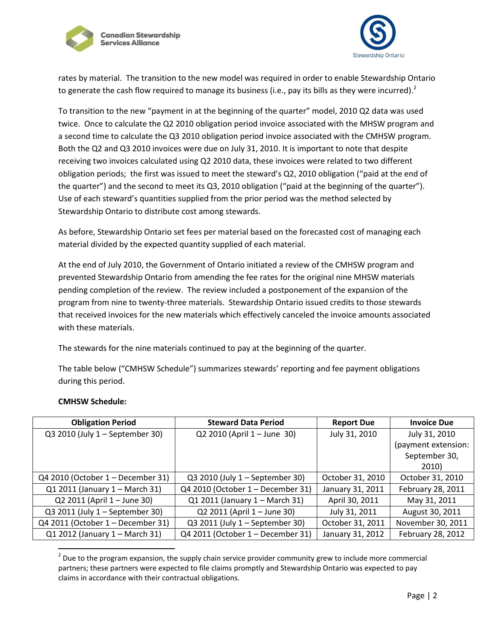



rates by material. The transition to the new model was required in order to enable Stewardship Ontario to generate the cash flow required to manage its business (i.e., pay its bills as they were incurred).<sup>2</sup>

To transition to the new "payment in at the beginning of the quarter" model, 2010 Q2 data was used twice. Once to calculate the Q2 2010 obligation period invoice associated with the MHSW program and a second time to calculate the Q3 2010 obligation period invoice associated with the CMHSW program. Both the Q2 and Q3 2010 invoices were due on July 31, 2010. It is important to note that despite receiving two invoices calculated using Q2 2010 data, these invoices were related to two different obligation periods; the first was issued to meet the steward's Q2, 2010 obligation ("paid at the end of the quarter") and the second to meet its Q3, 2010 obligation ("paid at the beginning of the quarter"). Use of each steward's quantities supplied from the prior period was the method selected by Stewardship Ontario to distribute cost among stewards.

As before, Stewardship Ontario set fees per material based on the forecasted cost of managing each material divided by the expected quantity supplied of each material.

At the end of July 2010, the Government of Ontario initiated a review of the CMHSW program and prevented Stewardship Ontario from amending the fee rates for the original nine MHSW materials pending completion of the review. The review included a postponement of the expansion of the program from nine to twenty-three materials. Stewardship Ontario issued credits to those stewards that received invoices for the new materials which effectively canceled the invoice amounts associated with these materials.

The stewards for the nine materials continued to pay at the beginning of the quarter.

The table below ("CMHSW Schedule") summarizes stewards' reporting and fee payment obligations during this period.

| <b>Obligation Period</b>          | <b>Steward Data Period</b>        | <b>Report Due</b> | <b>Invoice Due</b>  |
|-----------------------------------|-----------------------------------|-------------------|---------------------|
| Q3 2010 (July 1 - September 30)   | Q2 2010 (April 1 - June 30)       | July 31, 2010     | July 31, 2010       |
|                                   |                                   |                   | (payment extension: |
|                                   |                                   |                   | September 30,       |
|                                   |                                   |                   | 2010)               |
| Q4 2010 (October 1 – December 31) | Q3 2010 (July 1 – September 30)   | October 31, 2010  | October 31, 2010    |
| Q1 2011 (January 1 - March 31)    | Q4 2010 (October 1 - December 31) | January 31, 2011  | February 28, 2011   |
| Q2 2011 (April 1 - June 30)       | Q1 2011 (January 1 - March 31)    | April 30, 2011    | May 31, 2011        |
| Q3 2011 (July 1 - September 30)   | Q2 2011 (April 1 - June 30)       | July 31, 2011     | August 30, 2011     |
| Q4 2011 (October 1 – December 31) | Q3 2011 (July 1 - September 30)   | October 31, 2011  | November 30, 2011   |
| Q1 2012 (January 1 - March 31)    | Q4 2011 (October 1 - December 31) | January 31, 2012  | February 28, 2012   |

# **CMHSW Schedule:**

 $\overline{\phantom{a}}$ 

 $2$  Due to the program expansion, the supply chain service provider community grew to include more commercial partners; these partners were expected to file claims promptly and Stewardship Ontario was expected to pay claims in accordance with their contractual obligations.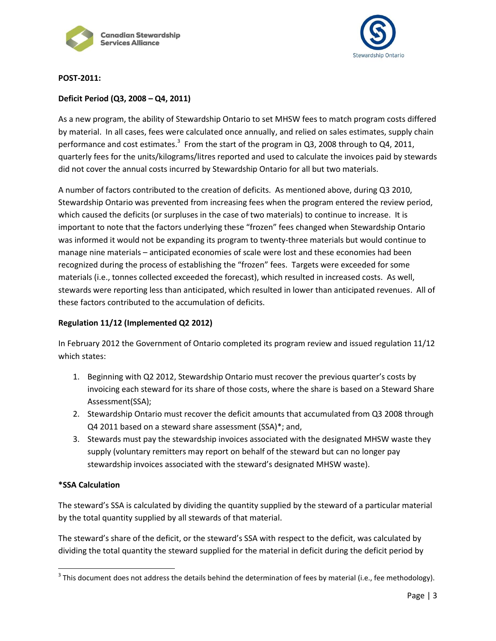



# **POST-2011:**

# **Deficit Period (Q3, 2008 – Q4, 2011)**

As a new program, the ability of Stewardship Ontario to set MHSW fees to match program costs differed by material. In all cases, fees were calculated once annually, and relied on sales estimates, supply chain performance and cost estimates.<sup>3</sup> From the start of the program in Q3, 2008 through to Q4, 2011, quarterly fees for the units/kilograms/litres reported and used to calculate the invoices paid by stewards did not cover the annual costs incurred by Stewardship Ontario for all but two materials.

A number of factors contributed to the creation of deficits. As mentioned above, during Q3 2010, Stewardship Ontario was prevented from increasing fees when the program entered the review period, which caused the deficits (or surpluses in the case of two materials) to continue to increase. It is important to note that the factors underlying these "frozen" fees changed when Stewardship Ontario was informed it would not be expanding its program to twenty-three materials but would continue to manage nine materials – anticipated economies of scale were lost and these economies had been recognized during the process of establishing the "frozen" fees. Targets were exceeded for some materials (i.e., tonnes collected exceeded the forecast), which resulted in increased costs. As well, stewards were reporting less than anticipated, which resulted in lower than anticipated revenues. All of these factors contributed to the accumulation of deficits.

# **Regulation 11/12 (Implemented Q2 2012)**

In February 2012 the Government of Ontario completed its program review and issued regulation 11/12 which states:

- 1. Beginning with Q2 2012, Stewardship Ontario must recover the previous quarter's costs by invoicing each steward for its share of those costs, where the share is based on a Steward Share Assessment(SSA);
- 2. Stewardship Ontario must recover the deficit amounts that accumulated from Q3 2008 through Q4 2011 based on a steward share assessment (SSA)\*; and,
- 3. Stewards must pay the stewardship invoices associated with the designated MHSW waste they supply (voluntary remitters may report on behalf of the steward but can no longer pay stewardship invoices associated with the steward's designated MHSW waste).

## **\*SSA Calculation**

 $\overline{\phantom{a}}$ 

The steward's SSA is calculated by dividing the quantity supplied by the steward of a particular material by the total quantity supplied by all stewards of that material.

The steward's share of the deficit, or the steward's SSA with respect to the deficit, was calculated by dividing the total quantity the steward supplied for the material in deficit during the deficit period by

 $^3$  This document does not address the details behind the determination of fees by material (i.e., fee methodology).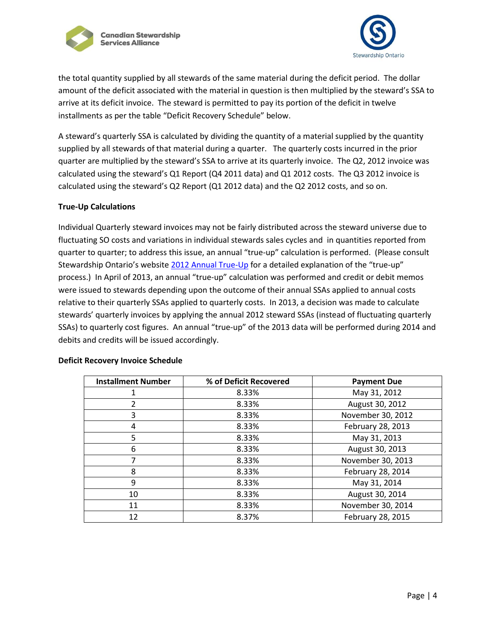



the total quantity supplied by all stewards of the same material during the deficit period. The dollar amount of the deficit associated with the material in question is then multiplied by the steward's SSA to arrive at its deficit invoice. The steward is permitted to pay its portion of the deficit in twelve installments as per the table "Deficit Recovery Schedule" below.

A steward's quarterly SSA is calculated by dividing the quantity of a material supplied by the quantity supplied by all stewards of that material during a quarter. The quarterly costs incurred in the prior quarter are multiplied by the steward's SSA to arrive at its quarterly invoice. The Q2, 2012 invoice was calculated using the steward's Q1 Report (Q4 2011 data) and Q1 2012 costs. The Q3 2012 invoice is calculated using the steward's Q2 Report (Q1 2012 data) and the Q2 2012 costs, and so on.

## **True-Up Calculations**

Individual Quarterly steward invoices may not be fairly distributed across the steward universe due to fluctuating SO costs and variations in individual stewards sales cycles and in quantities reported from quarter to quarter; to address this issue, an annual "true-up" calculation is performed. (Please consult Stewardship Ontario's website [2012 Annual True-Up](http://www.stewardshipontario.ca/download/2012-annual-true-up-q1-2013-ssa-supporting-information) for a detailed explanation of the "true-up" process.) In April of 2013, an annual "true-up" calculation was performed and credit or debit memos were issued to stewards depending upon the outcome of their annual SSAs applied to annual costs relative to their quarterly SSAs applied to quarterly costs. In 2013, a decision was made to calculate stewards' quarterly invoices by applying the annual 2012 steward SSAs (instead of fluctuating quarterly SSAs) to quarterly cost figures. An annual "true-up" of the 2013 data will be performed during 2014 and debits and credits will be issued accordingly.

| <b>Installment Number</b> | % of Deficit Recovered | <b>Payment Due</b> |
|---------------------------|------------------------|--------------------|
| 1                         | 8.33%                  | May 31, 2012       |
| 2                         | 8.33%                  | August 30, 2012    |
| 3                         | 8.33%                  | November 30, 2012  |
| 4                         | 8.33%                  | February 28, 2013  |
| 5                         | 8.33%                  | May 31, 2013       |
| 6                         | 8.33%                  | August 30, 2013    |
| 7                         | 8.33%                  | November 30, 2013  |
| 8                         | 8.33%                  | February 28, 2014  |
| 9                         | 8.33%                  | May 31, 2014       |
| 10                        | 8.33%                  | August 30, 2014    |
| 11                        | 8.33%                  | November 30, 2014  |
| 12                        | 8.37%                  | February 28, 2015  |

#### **Deficit Recovery Invoice Schedule**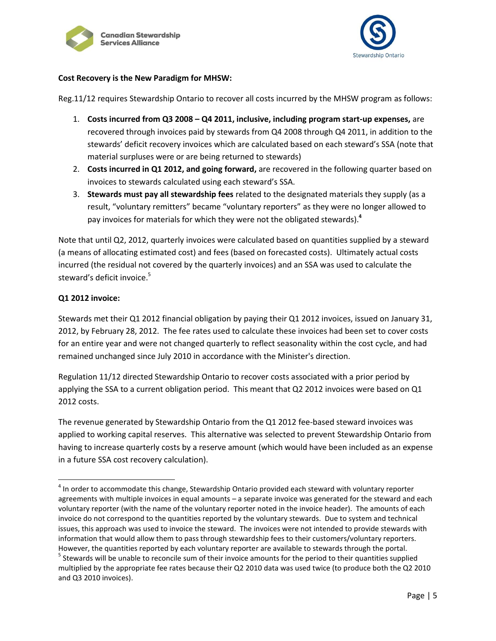



## **Cost Recovery is the New Paradigm for MHSW:**

Reg.11/12 requires Stewardship Ontario to recover all costs incurred by the MHSW program as follows:

- 1. **Costs incurred from Q3 2008 – Q4 2011, inclusive, including program start-up expenses,** are recovered through invoices paid by stewards from Q4 2008 through Q4 2011, in addition to the stewards' deficit recovery invoices which are calculated based on each steward's SSA (note that material surpluses were or are being returned to stewards)
- 2. **Costs incurred in Q1 2012, and going forward,** are recovered in the following quarter based on invoices to stewards calculated using each steward's SSA.
- 3. **Stewards must pay all stewardship fees** related to the designated materials they supply (as a result, "voluntary remitters" became "voluntary reporters" as they were no longer allowed to pay invoices for materials for which they were not the obligated stewards).**<sup>4</sup>**

Note that until Q2, 2012, quarterly invoices were calculated based on quantities supplied by a steward (a means of allocating estimated cost) and fees (based on forecasted costs). Ultimately actual costs incurred (the residual not covered by the quarterly invoices) and an SSA was used to calculate the steward's deficit invoice.<sup>5</sup>

# **Q1 2012 invoice:**

 $\overline{\phantom{a}}$ 

Stewards met their Q1 2012 financial obligation by paying their Q1 2012 invoices, issued on January 31, 2012, by February 28, 2012. The fee rates used to calculate these invoices had been set to cover costs for an entire year and were not changed quarterly to reflect seasonality within the cost cycle, and had remained unchanged since July 2010 in accordance with the Minister's direction.

Regulation 11/12 directed Stewardship Ontario to recover costs associated with a prior period by applying the SSA to a current obligation period. This meant that Q2 2012 invoices were based on Q1 2012 costs.

The revenue generated by Stewardship Ontario from the Q1 2012 fee-based steward invoices was applied to working capital reserves. This alternative was selected to prevent Stewardship Ontario from having to increase quarterly costs by a reserve amount (which would have been included as an expense in a future SSA cost recovery calculation).

 $<sup>4</sup>$  In order to accommodate this change, Stewardship Ontario provided each steward with voluntary reporter</sup> agreements with multiple invoices in equal amounts – a separate invoice was generated for the steward and each voluntary reporter (with the name of the voluntary reporter noted in the invoice header). The amounts of each invoice do not correspond to the quantities reported by the voluntary stewards. Due to system and technical issues, this approach was used to invoice the steward. The invoices were not intended to provide stewards with information that would allow them to pass through stewardship fees to their customers/voluntary reporters. However, the quantities reported by each voluntary reporter are available to stewards through the portal.

<sup>&</sup>lt;sup>5</sup> Stewards will be unable to reconcile sum of their invoice amounts for the period to their quantities supplied multiplied by the appropriate fee rates because their Q2 2010 data was used twice (to produce both the Q2 2010 and Q3 2010 invoices).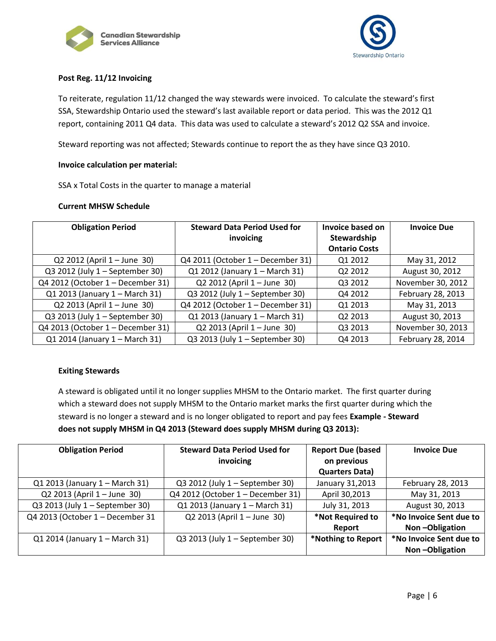



# **Post Reg. 11/12 Invoicing**

To reiterate, regulation 11/12 changed the way stewards were invoiced. To calculate the steward's first SSA, Stewardship Ontario used the steward's last available report or data period. This was the 2012 Q1 report, containing 2011 Q4 data. This data was used to calculate a steward's 2012 Q2 SSA and invoice.

Steward reporting was not affected; Stewards continue to report the as they have since Q3 2010.

### **Invoice calculation per material:**

SSA x Total Costs in the quarter to manage a material

### **Current MHSW Schedule**

| <b>Obligation Period</b>          | <b>Steward Data Period Used for</b> | Invoice based on     | <b>Invoice Due</b> |
|-----------------------------------|-------------------------------------|----------------------|--------------------|
|                                   | invoicing                           | Stewardship          |                    |
|                                   |                                     | <b>Ontario Costs</b> |                    |
| Q2 2012 (April 1 – June 30)       | Q4 2011 (October 1 – December 31)   | Q1 2012              | May 31, 2012       |
| Q3 2012 (July 1 - September 30)   | Q1 2012 (January 1 - March 31)      | Q2 2012              | August 30, 2012    |
| Q4 2012 (October 1 – December 31) | Q2 2012 (April 1 - June 30)         | Q3 2012              | November 30, 2012  |
| Q1 2013 (January 1 - March 31)    | Q3 2012 (July 1 - September 30)     | Q4 2012              | February 28, 2013  |
| Q2 2013 (April 1 - June 30)       | Q4 2012 (October 1 – December 31)   | Q1 2013              | May 31, 2013       |
| Q3 2013 (July 1 - September 30)   | $Q1$ 2013 (January 1 – March 31)    | Q2 2013              | August 30, 2013    |
| Q4 2013 (October 1 – December 31) | Q2 2013 (April 1 - June 30)         | Q3 2013              | November 30, 2013  |
| Q1 2014 (January 1 - March 31)    | Q3 2013 (July 1 - September 30)     | Q4 2013              | February 28, 2014  |

#### **Exiting Stewards**

A steward is obligated until it no longer supplies MHSM to the Ontario market. The first quarter during which a steward does not supply MHSM to the Ontario market marks the first quarter during which the steward is no longer a steward and is no longer obligated to report and pay fees **Example - Steward does not supply MHSM in Q4 2013 (Steward does supply MHSM during Q3 2013):** 

| <b>Obligation Period</b>         | <b>Steward Data Period Used for</b> | <b>Report Due (based</b> | <b>Invoice Due</b>      |
|----------------------------------|-------------------------------------|--------------------------|-------------------------|
|                                  | invoicing                           | on previous              |                         |
|                                  |                                     | <b>Quarters Data)</b>    |                         |
| Q1 2013 (January 1 - March 31)   | Q3 2012 (July 1 – September 30)     | January 31,2013          | February 28, 2013       |
| Q2 2013 (April 1 – June 30)      | Q4 2012 (October 1 - December 31)   | April 30,2013            | May 31, 2013            |
| Q3 2013 (July 1 - September 30)  | Q1 2013 (January 1 - March 31)      | July 31, 2013            | August 30, 2013         |
| Q4 2013 (October 1 - December 31 | Q2 2013 (April 1 - June 30)         | *Not Required to         | *No Invoice Sent due to |
|                                  |                                     | Report                   | Non-Obligation          |
| Q1 2014 (January 1 - March 31)   | Q3 2013 (July 1 – September 30)     | *Nothing to Report       | *No Invoice Sent due to |
|                                  |                                     |                          | Non-Obligation          |